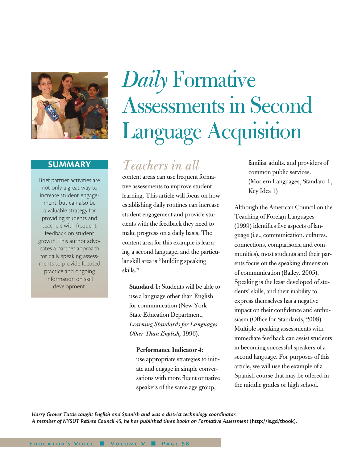

## **SUMMARY**

Brief partner activities are not only a great way to increase student engagement, but can also be a valuable strategy for providing students and teachers with frequent feedback on student growth. This author advocates a partner approach for daily speaking assessments to provide focused practice and ongoing information on skill development.

# *Daily* Formative Assessments in Second Language Acquisition

## *Teachers in all*

content areas can use frequent formative assessments to improve student learning. This article will focus on how establishing daily routines can increase student engagement and provide students with the feedback they need to make progress on a daily basis. The content area for this example is learning a second language, and the particular skill area is "building speaking skills."

**Standard 1:** Students will be able to use a language other than English for communication (New York State Education Department, *Learning Standards for Languages Other Than English,* 1996).

### **Performance Indicator 4:**

use appropriate strategies to initiate and engage in simple conversations with more fluent or native speakers of the same age group,

familiar adults, and providers of common public services. (Modern Languages, Standard 1, Key Idea 1)

Although the American Council on the Teaching of Foreign Languages (1999) identifies five aspects of language (i.e., communication, cultures, connections, comparisons, and communities), most students and their parents focus on the speaking dimension of communication (Bailey, 2005). Speaking is the least developed of students' skills, and their inability to express themselves has a negative impact on their confidence and enthusiasm (Office for Standards, 2008). Multiple speaking assessments with immediate feedback can assist students in becoming successful speakers of a second language. For purposes of this article, we will use the example of a Spanish course that may be offered in the middle grades or high school.

*Harry Grover Tuttle taught English and Spanish and was a district technology coordinator. A member of NYSUT Retiree Council 45, he has published three books on Formative Assessment* **(http://is.gd/tbook).**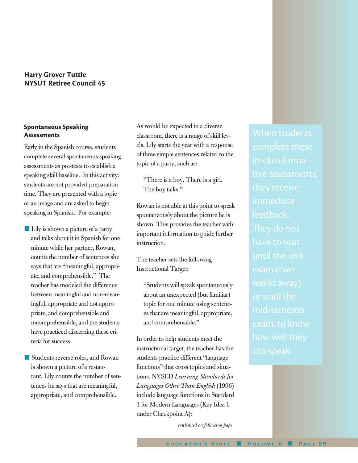## **Harry Grover Tuttle NYSUT Retiree Council 45**

## **Spontaneous Speaking Assessments**

Early in the Spanish course, students complete several spontaneous speaking assessments as pre-tests to establish a speaking skill baseline. In this activity, students are not provided preparation time. They are presented with a topic or an image and are asked to begin speaking in Spanish. For example:

- Lily is shown a picture of a party and talks about it in Spanish for one minute while her partner, Rowan, counts the number of sentences she says that are "meaningful, appropriate, and comprehensible." The teacher has modeled the difference between meaningful and non-meaningful, appropriate and not appropriate, and comprehensible and incomprehensible, and the students have practiced discerning these criteria for success.
- Students reverse roles, and Rowan is shown a picture of a restaurant. Lily counts the number of sentences he says that are meaningful, appropriate, and comprehensible.

As would be expected in a diverse classroom, there is a range of skill levels. Lily starts the year with a response of three simple sentences related to the topic of a party, such as:

"There is a boy. There is a girl. The boy talks."

Rowan is not able at this point to speak spontaneously about the picture he is shown. This provides the teacher with important information to guide further instruction.

The teacher sets the following Instructional Target:

"Students will speak spontaneously about an unexpected (but familiar) topic for one minute using sentences that are meaningful, appropriate, and comprehensible."

In order to help students meet the instructional target, the teacher has the students practice different "language functions" that cross topics and situations. NYSED *Learning Standards for Languages Other Than English* (1996) include language functions in Standard 1 for Modern Languages (Key Idea 1 under Checkpoint A):

*continued on following page*

When students in-class formative assessments, immediate feedback. have to wait until the unit or until the mid-semester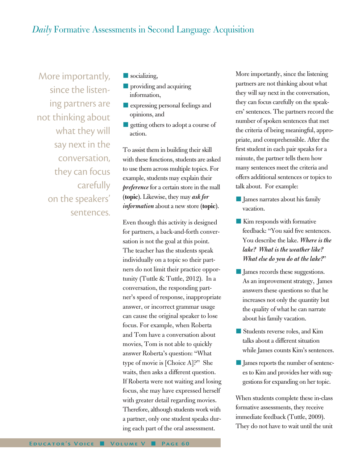## *Daily* Formative Assessments in Second Language Acquisition

More importantly, since the listening partners are not thinking about what they will say next in the conversation, they can focus carefully on the speakers' sentences.

- $\blacksquare$  socializing,
- **n** providing and acquiring information,
- $\blacksquare$  expressing personal feelings and opinions, and
- n getting others to adopt a course of action.

To assist them in building their skill with these functions, students are asked to use them across multiple topics. For example, students may explain their *preference* for a certain store in the mall (**topic**). Likewise, they may *ask for information* about a new store (**topic**).

Even though this activity is designed for partners, a back-and-forth conversation is not the goal at this point. The teacher has the students speak individually on a topic so their partners do not limit their practice opportunity (Tuttle & Tuttle, 2012). In a conversation, the responding partner's speed of response, inappropriate answer, or incorrect grammar usage can cause the original speaker to lose focus. For example, when Roberta and Tom have a conversation about movies, Tom is not able to quickly answer Roberta's question: "What type of movie is [Choice A]?" She waits, then asks a different question. If Roberta were not waiting and losing focus, she may have expressed herself with greater detail regarding movies. Therefore, although students work with a partner, only one student speaks during each part of the oral assessment.

More importantly, since the listening partners are not thinking about what they will say next in the conversation, they can focus carefully on the speakers' sentences. The partners record the number of spoken sentences that met the criteria of being meaningful, appropriate, and comprehensible. After the first student in each pair speaks for a minute, the partner tells them how many sentences meet the criteria and offers additional sentences or topics to talk about. For example:

- **n** James narrates about his family vacation.
- **Kim responds with formative** feedback: "You said five sentences. You describe the lake. *Where is the lake? What is the weather like? What else do you do at the lake?*"
- **n** James records these suggestions. As an improvement strategy, James answers these questions so that he increases not only the quantity but the quality of what he can narrate about his family vacation.
- **n** Students reverse roles, and Kim talks about a different situation while James counts Kim's sentences.
- **n** James reports the number of sentences to Kim and provides her with suggestions for expanding on her topic.

When students complete these in-class formative assessments, they receive immediate feedback (Tuttle, 2009). They do not have to wait until the unit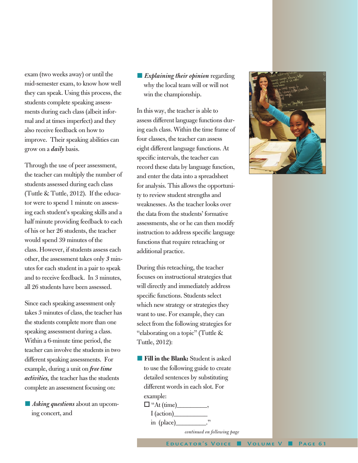exam (two weeks away) or until the mid-semester exam, to know how well they can speak. Using this process, the students complete speaking assessments during each class (albeit informal and at times imperfect) and they also receive feedback on how to improve. Their speaking abilities can grow on a *daily* basis.

Through the use of peer assessment, the teacher can multiply the number of students assessed during each class (Tuttle & Tuttle, 2012). If the educator were to spend 1 minute on assessing each student's speaking skills and a half minute providing feedback to each of his or her 26 students, the teacher would spend 39 minutes of the class. However, if students assess each other, the assessment takes only *3* minutes for each student in a pair to speak and to receive feedback. In 3 minutes, all 26 students have been assessed.

Since each speaking assessment only takes 3 minutes of class, the teacher has the students complete more than one speaking assessment during a class. Within a 6-minute time period, the teacher can involve the students in two different speaking assessments. For example, during a unit on *free time activities,* the teacher has the students complete an assessment focusing on:

**n** *Asking questions* about an upcoming concert, and

## **Explaining their opinion regarding** why the local team will or will not win the championship.

In this way, the teacher is able to assess different language functions during each class. Within the time frame of four classes, the teacher can assess eight different language functions. At specific intervals, the teacher can record these data by language function, and enter the data into a spreadsheet for analysis. This allows the opportunity to review student strengths and weaknesses. As the teacher looks over the data from the students' formative assessments, she or he can then modify instruction to address specific language functions that require reteaching or additional practice.

During this reteaching, the teacher focuses on instructional strategies that will directly and immediately address specific functions. Students select which new strategy or strategies they want to use. For example, they can select from the following strategies for "elaborating on a topic" (Tuttle & Tuttle, 2012):

**Fill in the Blank:** Student is asked to use the following guide to create detailed sentences by substituting different words in each slot. For example:

 $\Box$  "At (time)

 $I$  (action) in (place)



*continued on following page*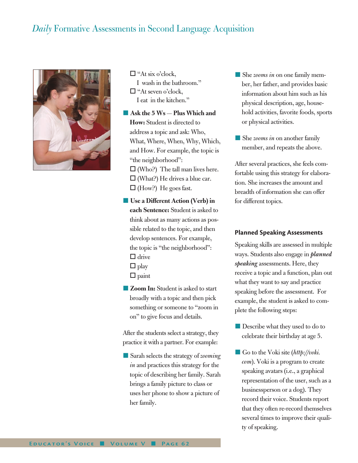## *Daily* Formative Assessments in Second Language Acquisition



 $\Box$  "At six o'clock, I wash in the bathroom."  $\Box$  "At seven o'clock, I eat in the kitchen."

**n** Ask the 5 Ws — Plus Which and **How:** Student is directed to address a topic and ask: Who, What, Where, When, Why, Which, and How. For example, the topic is "the neighborhood":  $\Box$  (Who?) The tall man lives here.  $\Box$  (What?) He drives a blue car.  $\Box$  (How?) He goes fast.

■ Use a Different Action (Verb) in **each Sentence:** Student is asked to think about as many actions as possible related to the topic, and then develop sentences. For example, the topic is "the neighborhood":  $\Box$  drive

- $\Box$  play
- $\square$  paint
- **Zoom In:** Student is asked to start broadly with a topic and then pick something or someone to "zoom in on" to give focus and details.

After the students select a strategy, they practice it with a partner. For example:

■ Sarah selects the strategy of *zooming in* and practices this strategy for the topic of describing her family. Sarah brings a family picture to class or uses her phone to show a picture of her family.

- She *zooms in* on one family member, her father, and provides basic information about him such as his physical description, age, household activities, favorite foods, sports or physical activities.
- She *zooms in* on another family member, and repeats the above.

After several practices, she feels comfortable using this strategy for elaboration. She increases the amount and breadth of information she can offer for different topics.

### **Planned Speaking Assessments**

Speaking skills are assessed in multiple ways. Students also engage in *planned speaking* assessments. Here, they receive a topic and a function, plan out what they want to say and practice speaking before the assessment. For example, the student is asked to complete the following steps:

- **n** Describe what they used to do to celebrate their birthday at age 5.
- Go to the Voki site (*http://voki*. *com*). Voki is a program to create speaking avatars (i.e., a graphical representation of the user, such as a businessperson or a dog). They record their voice. Students report that they often re-record themselves several times to improve their quality of speaking.